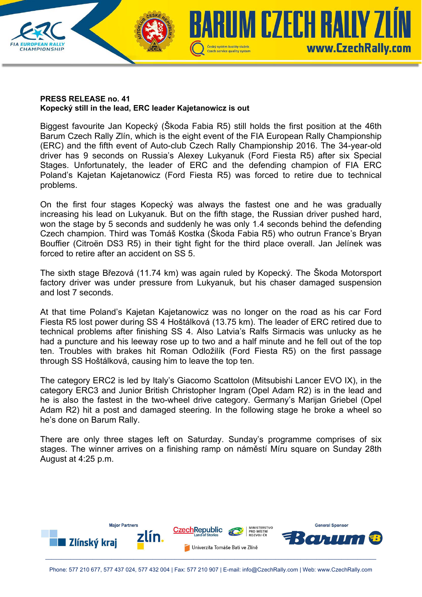

## **PRESS RELEASE no. 41 Kopecký still in the lead, ERC leader Kajetanowicz is out**

Biggest favourite Jan Kopecký (Škoda Fabia R5) still holds the first position at the 46th Barum Czech Rally Zlín, which is the eight event of the FIA European Rally Championship (ERC) and the fifth event of Auto-club Czech Rally Championship 2016. The 34-year-old driver has 9 seconds on Russia's Alexey Lukyanuk (Ford Fiesta R5) after six Special Stages. Unfortunately, the leader of ERC and the defending champion of FIA ERC Poland's Kajetan Kajetanowicz (Ford Fiesta R5) was forced to retire due to technical problems.

On the first four stages Kopecký was always the fastest one and he was gradually increasing his lead on Lukyanuk. But on the fifth stage, the Russian driver pushed hard, won the stage by 5 seconds and suddenly he was only 1.4 seconds behind the defending Czech champion. Third was Tomáš Kostka (Škoda Fabia R5) who outrun France's Bryan Bouffier (Citroën DS3 R5) in their tight fight for the third place overall. Jan Jelínek was forced to retire after an accident on SS 5.

The sixth stage Březová (11.74 km) was again ruled by Kopecký. The Škoda Motorsport factory driver was under pressure from Lukyanuk, but his chaser damaged suspension and lost 7 seconds.

At that time Poland's Kajetan Kajetanowicz was no longer on the road as his car Ford Fiesta R5 lost power during SS 4 Hoštálková (13.75 km). The leader of ERC retired due to technical problems after finishing SS 4. Also Latvia's Ralfs Sirmacis was unlucky as he had a puncture and his leeway rose up to two and a half minute and he fell out of the top ten. Troubles with brakes hit Roman Odložilík (Ford Fiesta R5) on the first passage through SS Hoštálková, causing him to leave the top ten.

The category ERC2 is led by Italy's Giacomo Scattolon (Mitsubishi Lancer EVO IX), in the category ERC3 and Junior British Christopher Ingram (Opel Adam R2) is in the lead and he is also the fastest in the two-wheel drive category. Germany's Marijan Griebel (Opel Adam R2) hit a post and damaged steering. In the following stage he broke a wheel so he's done on Barum Rally.

There are only three stages left on Saturday. Sunday's programme comprises of six stages. The winner arrives on a finishing ramp on náměstí Míru square on Sunday 28th August at 4:25 p.m.